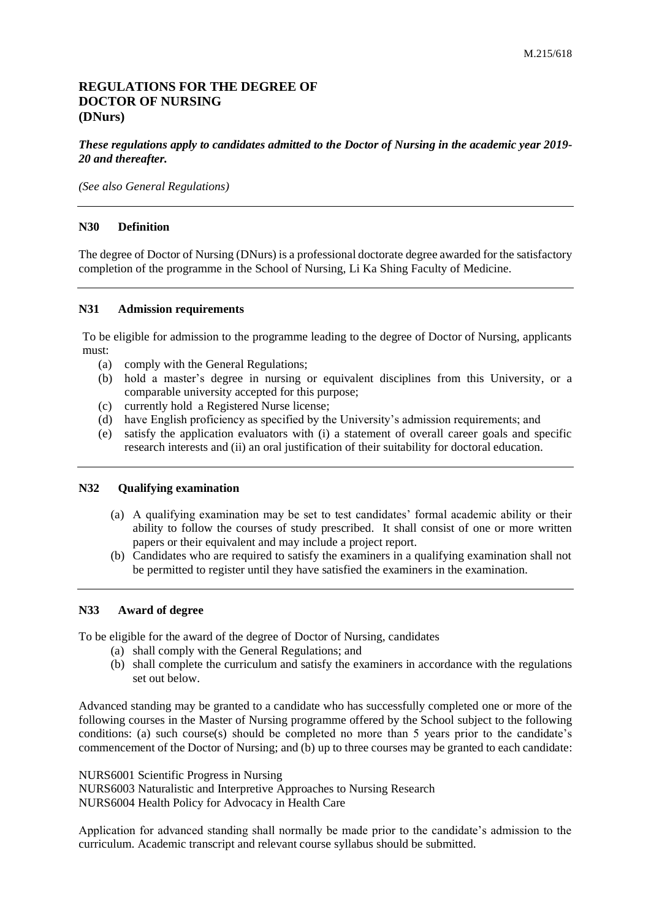# **REGULATIONS FOR THE DEGREE OF DOCTOR OF NURSING (DNurs)**

# *These regulations apply to candidates admitted to the Doctor of Nursing in the academic year 2019- 20 and thereafter.*

*(See also General Regulations)*

### **N30 Definition**

The degree of Doctor of Nursing (DNurs) is a professional doctorate degree awarded for the satisfactory completion of the programme in the School of Nursing, Li Ka Shing Faculty of Medicine.

### **N31 Admission requirements**

To be eligible for admission to the programme leading to the degree of Doctor of Nursing, applicants must:

- (a) comply with the General Regulations;
- (b) hold a master's degree in nursing or equivalent disciplines from this University, or a comparable university accepted for this purpose;
- (c) currently hold a Registered Nurse license;
- (d) have English proficiency as specified by the University's admission requirements; and
- (e) satisfy the application evaluators with (i) a statement of overall career goals and specific research interests and (ii) an oral justification of their suitability for doctoral education.

## **N32 Qualifying examination**

- (a) A qualifying examination may be set to test candidates' formal academic ability or their ability to follow the courses of study prescribed. It shall consist of one or more written papers or their equivalent and may include a project report.
- (b) Candidates who are required to satisfy the examiners in a qualifying examination shall not be permitted to register until they have satisfied the examiners in the examination.

### **N33 Award of degree**

To be eligible for the award of the degree of Doctor of Nursing, candidates

- (a) shall comply with the General Regulations; and
- (b) shall complete the curriculum and satisfy the examiners in accordance with the regulations set out below.

Advanced standing may be granted to a candidate who has successfully completed one or more of the following courses in the Master of Nursing programme offered by the School subject to the following conditions: (a) such course(s) should be completed no more than 5 years prior to the candidate's commencement of the Doctor of Nursing; and (b) up to three courses may be granted to each candidate:

NURS6001 Scientific Progress in Nursing NURS6003 Naturalistic and Interpretive Approaches to Nursing Research NURS6004 Health Policy for Advocacy in Health Care

Application for advanced standing shall normally be made prior to the candidate's admission to the curriculum. Academic transcript and relevant course syllabus should be submitted.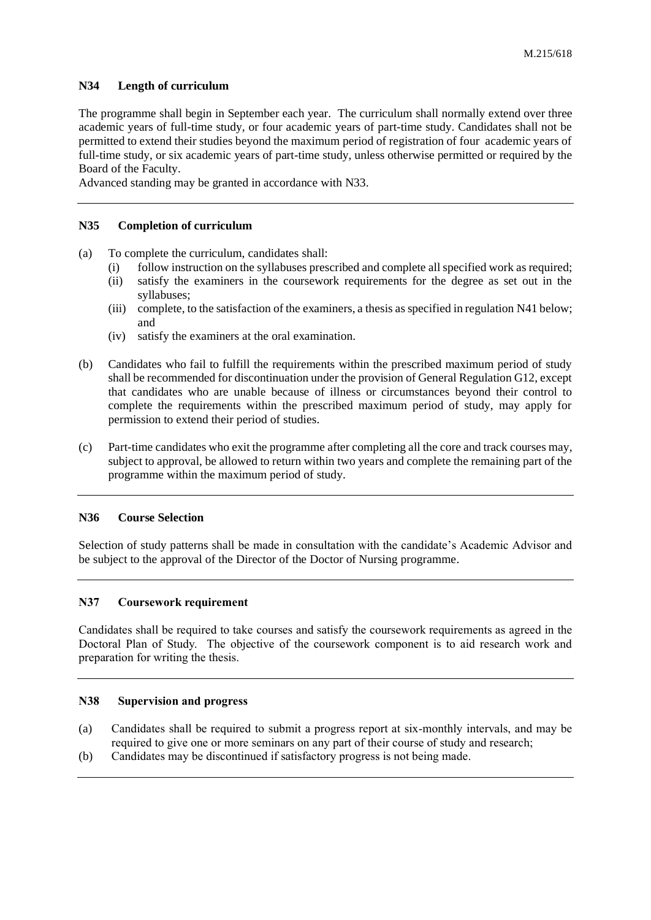### **N34 Length of curriculum**

The programme shall begin in September each year. The curriculum shall normally extend over three academic years of full-time study, or four academic years of part-time study. Candidates shall not be permitted to extend their studies beyond the maximum period of registration of four academic years of full-time study, or six academic years of part-time study, unless otherwise permitted or required by the Board of the Faculty.

Advanced standing may be granted in accordance with N33.

### **N35 Completion of curriculum**

- (a) To complete the curriculum, candidates shall:
	- (i) follow instruction on the syllabuses prescribed and complete all specified work as required;
	- (ii) satisfy the examiners in the coursework requirements for the degree as set out in the syllabuses;
	- (iii) complete, to the satisfaction of the examiners, a thesis as specified in regulation N41 below; and
	- (iv) satisfy the examiners at the oral examination.
- (b) Candidates who fail to fulfill the requirements within the prescribed maximum period of study shall be recommended for discontinuation under the provision of General Regulation G12, except that candidates who are unable because of illness or circumstances beyond their control to complete the requirements within the prescribed maximum period of study, may apply for permission to extend their period of studies.
- (c) Part-time candidates who exit the programme after completing all the core and track courses may, subject to approval, be allowed to return within two years and complete the remaining part of the programme within the maximum period of study.

### **N36 Course Selection**

Selection of study patterns shall be made in consultation with the candidate's Academic Advisor and be subject to the approval of the Director of the Doctor of Nursing programme.

### **N37 Coursework requirement**

Candidates shall be required to take courses and satisfy the coursework requirements as agreed in the Doctoral Plan of Study. The objective of the coursework component is to aid research work and preparation for writing the thesis.

## **N38 Supervision and progress**

- (a) Candidates shall be required to submit a progress report at six-monthly intervals, and may be required to give one or more seminars on any part of their course of study and research;
- (b) Candidates may be discontinued if satisfactory progress is not being made.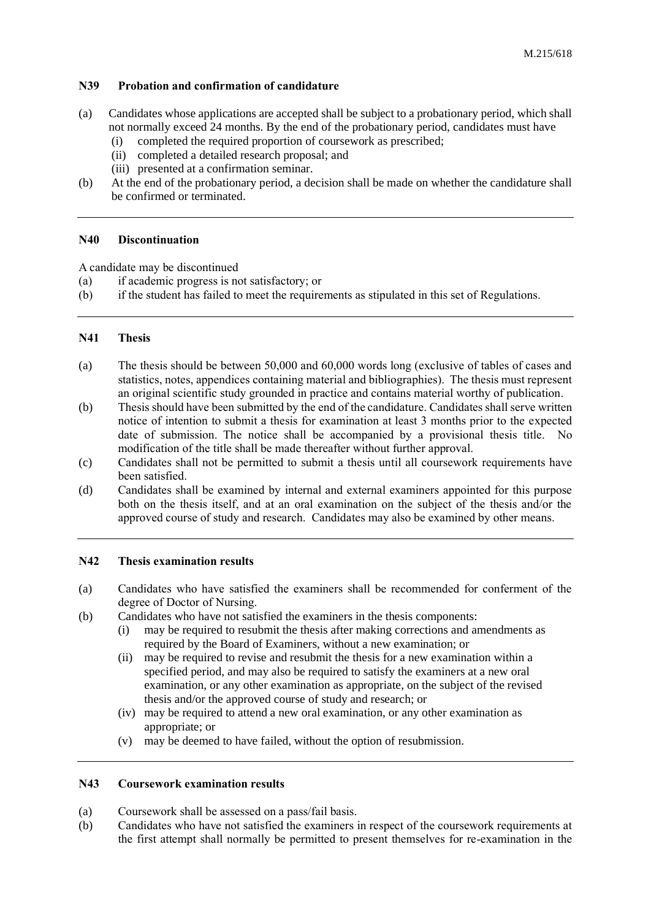# **N39 Probation and confirmation of candidature**

- (a) Candidates whose applications are accepted shall be subject to a probationary period, which shall not normally exceed 24 months. By the end of the probationary period, candidates must have
	- (i) completed the required proportion of coursework as prescribed;
	- (ii) completed a detailed research proposal; and
	- (iii) presented at a confirmation seminar.
- (b) At the end of the probationary period, a decision shall be made on whether the candidature shall be confirmed or terminated.

# **N40 Discontinuation**

A candidate may be discontinued

- (a) if academic progress is not satisfactory; or
- (b) if the student has failed to meet the requirements as stipulated in this set of Regulations.

# **N41 Thesis**

- (a) The thesis should be between 50,000 and 60,000 words long (exclusive of tables of cases and statistics, notes, appendices containing material and bibliographies). The thesis must represent an original scientific study grounded in practice and contains material worthy of publication.
- (b) Thesis should have been submitted by the end of the candidature. Candidates shall serve written notice of intention to submit a thesis for examination at least 3 months prior to the expected date of submission. The notice shall be accompanied by a provisional thesis title. No modification of the title shall be made thereafter without further approval.
- (c) Candidates shall not be permitted to submit a thesis until all coursework requirements have been satisfied.
- (d) Candidates shall be examined by internal and external examiners appointed for this purpose both on the thesis itself, and at an oral examination on the subject of the thesis and/or the approved course of study and research. Candidates may also be examined by other means.

# **N42 Thesis examination results**

- (a) Candidates who have satisfied the examiners shall be recommended for conferment of the degree of Doctor of Nursing.
- (b) Candidates who have not satisfied the examiners in the thesis components:
	- (i) may be required to resubmit the thesis after making corrections and amendments as required by the Board of Examiners, without a new examination; or
	- (ii) may be required to revise and resubmit the thesis for a new examination within a specified period, and may also be required to satisfy the examiners at a new oral examination, or any other examination as appropriate, on the subject of the revised thesis and/or the approved course of study and research; or
	- (iv) may be required to attend a new oral examination, or any other examination as appropriate; or
	- (v) may be deemed to have failed, without the option of resubmission.

# **N43 Coursework examination results**

- (a) Coursework shall be assessed on a pass/fail basis.
- (b) Candidates who have not satisfied the examiners in respect of the coursework requirements at the first attempt shall normally be permitted to present themselves for re-examination in the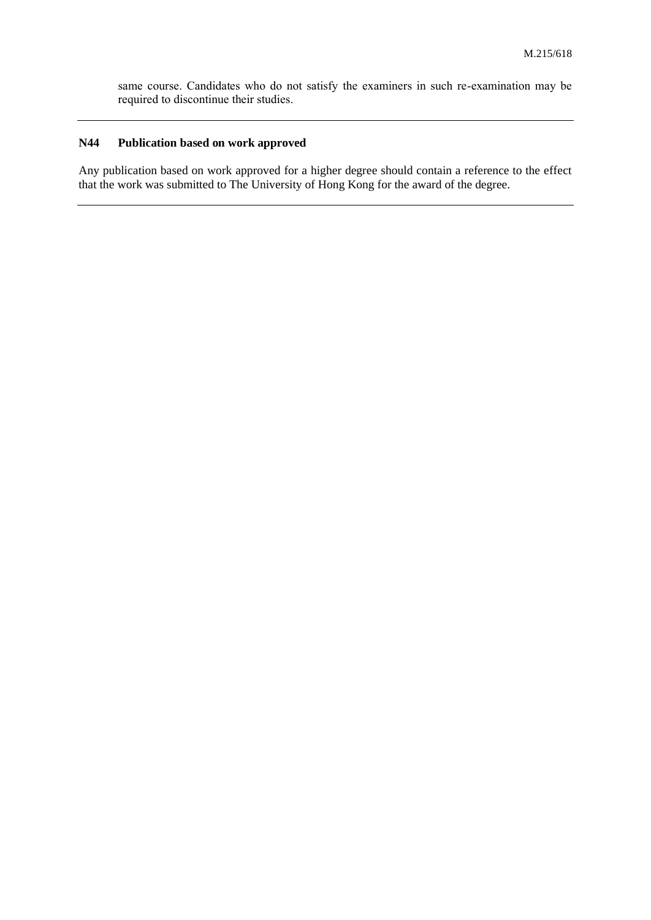same course. Candidates who do not satisfy the examiners in such re-examination may be required to discontinue their studies.

# **N44 Publication based on work approved**

Any publication based on work approved for a higher degree should contain a reference to the effect that the work was submitted to The University of Hong Kong for the award of the degree.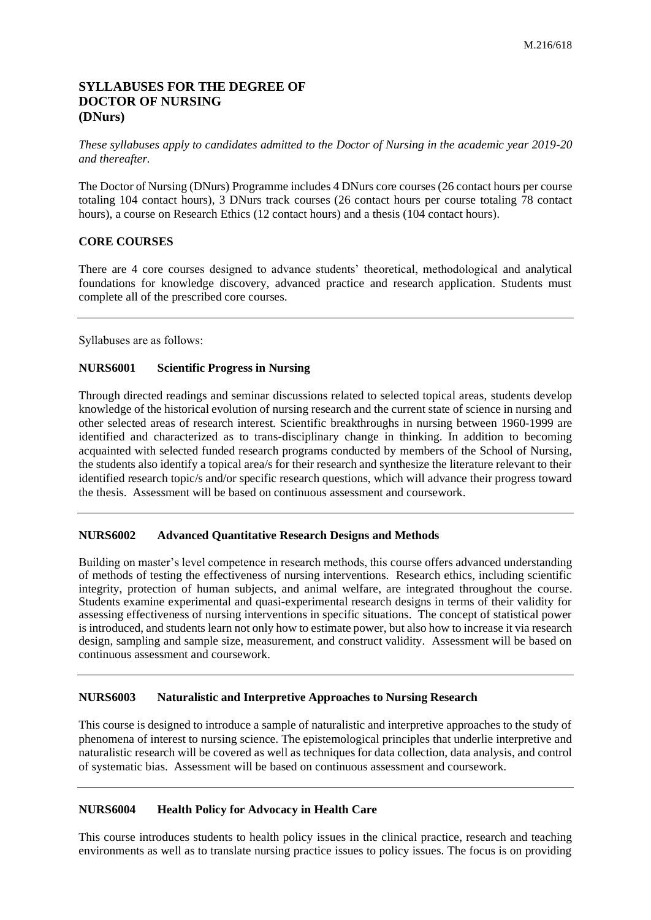# **SYLLABUSES FOR THE DEGREE OF DOCTOR OF NURSING (DNurs)**

*These syllabuses apply to candidates admitted to the Doctor of Nursing in the academic year 2019-20 and thereafter.*

The Doctor of Nursing (DNurs) Programme includes 4 DNurs core courses (26 contact hours per course totaling 104 contact hours), 3 DNurs track courses (26 contact hours per course totaling 78 contact hours), a course on Research Ethics (12 contact hours) and a thesis (104 contact hours).

# **CORE COURSES**

There are 4 core courses designed to advance students' theoretical, methodological and analytical foundations for knowledge discovery, advanced practice and research application. Students must complete all of the prescribed core courses.

Syllabuses are as follows:

# **NURS6001 Scientific Progress in Nursing**

Through directed readings and seminar discussions related to selected topical areas, students develop knowledge of the historical evolution of nursing research and the current state of science in nursing and other selected areas of research interest. Scientific breakthroughs in nursing between 1960-1999 are identified and characterized as to trans-disciplinary change in thinking. In addition to becoming acquainted with selected funded research programs conducted by members of the School of Nursing, the students also identify a topical area/s for their research and synthesize the literature relevant to their identified research topic/s and/or specific research questions, which will advance their progress toward the thesis. Assessment will be based on continuous assessment and coursework.

# **NURS6002 Advanced Quantitative Research Designs and Methods**

Building on master's level competence in research methods, this course offers advanced understanding of methods of testing the effectiveness of nursing interventions. Research ethics, including scientific integrity, protection of human subjects, and animal welfare, are integrated throughout the course. Students examine experimental and quasi-experimental research designs in terms of their validity for assessing effectiveness of nursing interventions in specific situations. The concept of statistical power is introduced, and students learn not only how to estimate power, but also how to increase it via research design, sampling and sample size, measurement, and construct validity. Assessment will be based on continuous assessment and coursework.

# **NURS6003 Naturalistic and Interpretive Approaches to Nursing Research**

This course is designed to introduce a sample of naturalistic and interpretive approaches to the study of phenomena of interest to nursing science. The epistemological principles that underlie interpretive and naturalistic research will be covered as well as techniques for data collection, data analysis, and control of systematic bias. Assessment will be based on continuous assessment and coursework.

# **NURS6004 Health Policy for Advocacy in Health Care**

This course introduces students to health policy issues in the clinical practice, research and teaching environments as well as to translate nursing practice issues to policy issues. The focus is on providing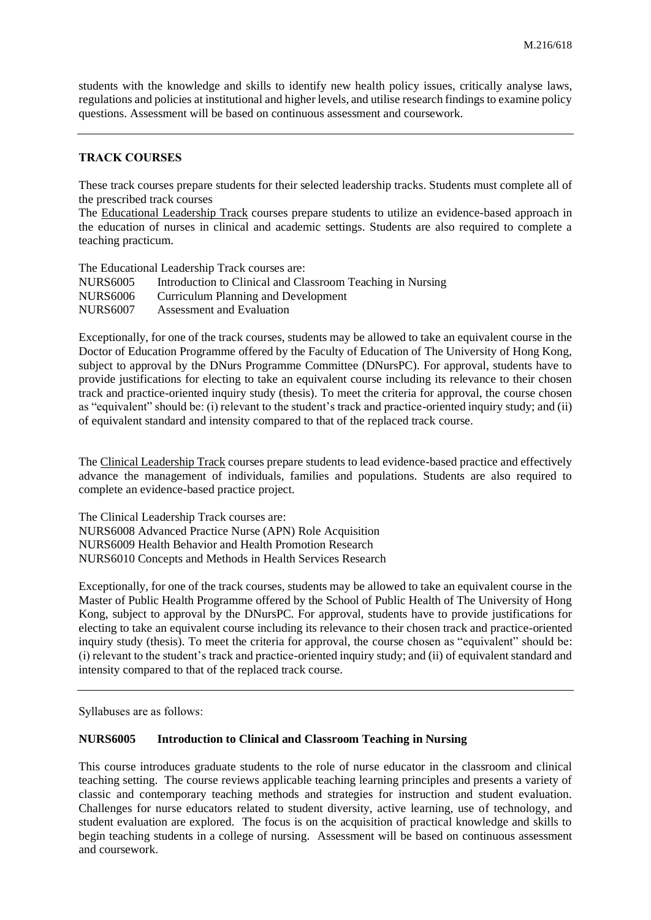students with the knowledge and skills to identify new health policy issues, critically analyse laws, regulations and policies at institutional and higher levels, and utilise research findings to examine policy questions. Assessment will be based on continuous assessment and coursework.

#### **TRACK COURSES**

These track courses prepare students for their selected leadership tracks. Students must complete all of the prescribed track courses

The Educational Leadership Track courses prepare students to utilize an evidence-based approach in the education of nurses in clinical and academic settings. Students are also required to complete a teaching practicum.

The Educational Leadership Track courses are: NURS6005 Introduction to Clinical and Classroom Teaching in Nursing NURS6006 Curriculum Planning and Development NURS6007 Assessment and Evaluation

Exceptionally, for one of the track courses, students may be allowed to take an equivalent course in the Doctor of Education Programme offered by the Faculty of Education of The University of Hong Kong, subject to approval by the DNurs Programme Committee (DNursPC). For approval, students have to provide justifications for electing to take an equivalent course including its relevance to their chosen track and practice-oriented inquiry study (thesis). To meet the criteria for approval, the course chosen as "equivalent" should be: (i) relevant to the student's track and practice-oriented inquiry study; and (ii) of equivalent standard and intensity compared to that of the replaced track course.

The Clinical Leadership Track courses prepare students to lead evidence-based practice and effectively advance the management of individuals, families and populations. Students are also required to complete an evidence-based practice project.

The Clinical Leadership Track courses are: NURS6008 Advanced Practice Nurse (APN) Role Acquisition NURS6009 Health Behavior and Health Promotion Research NURS6010 Concepts and Methods in Health Services Research

Exceptionally, for one of the track courses, students may be allowed to take an equivalent course in the Master of Public Health Programme offered by the School of Public Health of The University of Hong Kong, subject to approval by the DNursPC. For approval, students have to provide justifications for electing to take an equivalent course including its relevance to their chosen track and practice-oriented inquiry study (thesis). To meet the criteria for approval, the course chosen as "equivalent" should be: (i) relevant to the student's track and practice-oriented inquiry study; and (ii) of equivalent standard and intensity compared to that of the replaced track course.

Syllabuses are as follows:

#### **NURS6005 Introduction to Clinical and Classroom Teaching in Nursing**

This course introduces graduate students to the role of nurse educator in the classroom and clinical teaching setting. The course reviews applicable teaching learning principles and presents a variety of classic and contemporary teaching methods and strategies for instruction and student evaluation. Challenges for nurse educators related to student diversity, active learning, use of technology, and student evaluation are explored. The focus is on the acquisition of practical knowledge and skills to begin teaching students in a college of nursing. Assessment will be based on continuous assessment and coursework.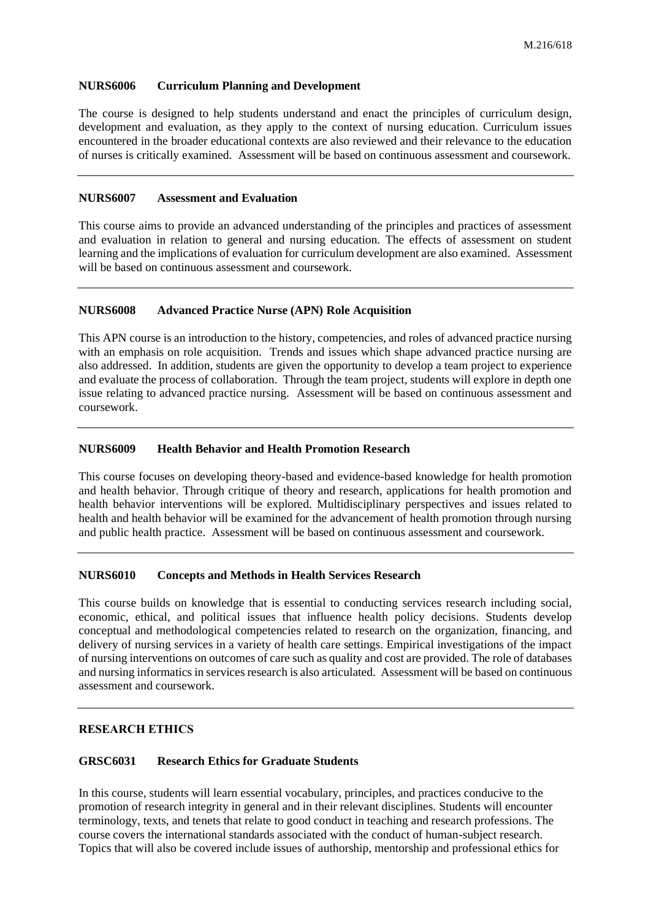## **NURS6006 Curriculum Planning and Development**

The course is designed to help students understand and enact the principles of curriculum design, development and evaluation, as they apply to the context of nursing education. Curriculum issues encountered in the broader educational contexts are also reviewed and their relevance to the education of nurses is critically examined. Assessment will be based on continuous assessment and coursework.

## **NURS6007 Assessment and Evaluation**

This course aims to provide an advanced understanding of the principles and practices of assessment and evaluation in relation to general and nursing education. The effects of assessment on student learning and the implications of evaluation for curriculum development are also examined. Assessment will be based on continuous assessment and coursework.

### **NURS6008 Advanced Practice Nurse (APN) Role Acquisition**

This APN course is an introduction to the history, competencies, and roles of advanced practice nursing with an emphasis on role acquisition. Trends and issues which shape advanced practice nursing are also addressed. In addition, students are given the opportunity to develop a team project to experience and evaluate the process of collaboration. Through the team project, students will explore in depth one issue relating to advanced practice nursing. Assessment will be based on continuous assessment and coursework.

### **NURS6009 Health Behavior and Health Promotion Research**

This course focuses on developing theory-based and evidence-based knowledge for health promotion and health behavior. Through critique of theory and research, applications for health promotion and health behavior interventions will be explored. Multidisciplinary perspectives and issues related to health and health behavior will be examined for the advancement of health promotion through nursing and public health practice. Assessment will be based on continuous assessment and coursework.

# **NURS6010 Concepts and Methods in Health Services Research**

This course builds on knowledge that is essential to conducting services research including social, economic, ethical, and political issues that influence health policy decisions. Students develop conceptual and methodological competencies related to research on the organization, financing, and delivery of nursing services in a variety of health care settings. Empirical investigations of the impact of nursing interventions on outcomes of care such as quality and cost are provided. The role of databases and nursing informatics in services research is also articulated. Assessment will be based on continuous assessment and coursework.

# **RESEARCH ETHICS**

## **GRSC6031 Research Ethics for Graduate Students**

In this course, students will learn essential vocabulary, principles, and practices conducive to the promotion of research integrity in general and in their relevant disciplines. Students will encounter terminology, texts, and tenets that relate to good conduct in teaching and research professions. The course covers the international standards associated with the conduct of human-subject research. Topics that will also be covered include issues of authorship, mentorship and professional ethics for